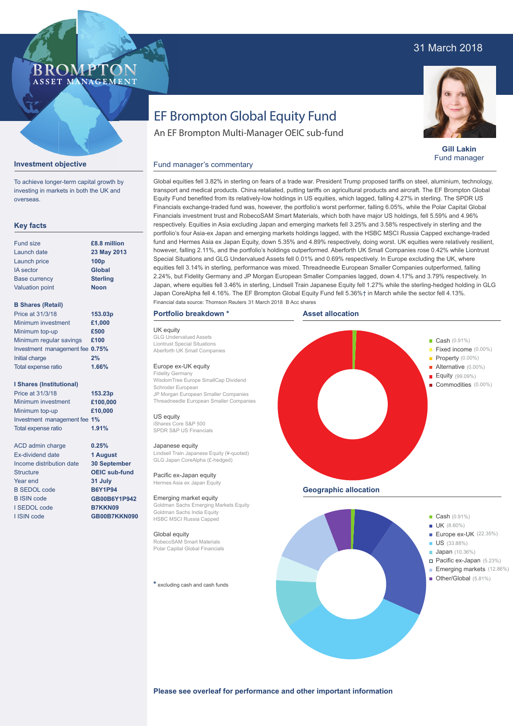## 31 March 2018

### **BROMP** ASSET MANAGEMENT

**Gill Lakin** Fund manager

# EF Brompton Global Equity Fund

An EF Brompton Multi-Manager OEIC sub-fund

### **Investment objective**

To achieve longer-term capital growth by investing in markets in both the UK and overseas.

#### **Key facts**

| <b>Fund size</b>       | £8.8 million     |
|------------------------|------------------|
| Launch date            | 23 May 2013      |
| Launch price           | 100 <sub>p</sub> |
| <b>IA</b> sector       | <b>Global</b>    |
| <b>Base currency</b>   | <b>Sterling</b>  |
| <b>Valuation point</b> | <b>Noon</b>      |
|                        |                  |

#### **B Shares (Retail)**

| Price at 31/3/18                | 153.03p |
|---------------------------------|---------|
| Minimum investment              | £1,000  |
| Minimum top-up                  | £500    |
| Minimum regular savings         | £100    |
| Investment management fee 0.75% |         |
| Initial charge                  | 2%      |
| Total expense ratio             | 1.66%   |
|                                 |         |

#### **I Shares (Institutional)**

Minimum investment Minimum top-up Investment management fee **1%** Total expense ratio **£100,000 £10,000** Price at 31/3/18 **153.23p 1.91%**

> **0.25% 1 August 30 September OEIC sub-fund 31 July B6Y1P94 GB00B6Y1P942 B7KKN09 GB00B7KKN090**

ACD admin charge Ex-dividend date Income distribution date Structure Year end B SEDOL code B ISIN code I SEDOL code I ISIN code

Global equities fell 3.82% in sterling on fears of a trade war. President Trump proposed tariffs on steel, aluminium, technology, transport and medical products. China retaliated, putting tariffs on agricultural products and aircraft. The EF Brompton Global Equity Fund benefited from its relatively-low holdings in US equities, which lagged, falling 4.27% in sterling. The SPDR US Financials exchange-traded fund was, however, the portfolio's worst performer, falling 6.05%, while the Polar Capital Global Financials investment trust and RobecoSAM Smart Materials, which both have major US holdings, fell 5.59% and 4.96% respectively. Equities in Asia excluding Japan and emerging markets fell 3.25% and 3.58% respectively in sterling and the portfolio's four Asia-ex Japan and emerging markets holdings lagged, with the HSBC MSCI Russia Capped exchange-traded fund and Hermes Asia ex Japan Equity, down 5.35% and 4.89% respectively, doing worst. UK equities were relatively resilient, however, falling 2.11%, and the portfolio's holdings outperformed. Aberforth UK Small Companies rose 0.42% while Liontrust Special Situations and GLG Undervalued Assets fell 0.01% and 0.69% respectively. In Europe excluding the UK, where equities fell 3.14% in sterling, performance was mixed. Threadneedle European Smaller Companies outperformed, falling 2.24%, but Fidelity Germany and JP Morgan European Smaller Companies lagged, down 4.17% and 3.79% respectively. In Japan, where equities fell 3.46% in sterling, Lindsell Train Japanese Equity fell 1.27% while the sterling-hedged holding in GLG Japan CoreAlpha fell 4.16%. The EF Brompton Global Equity Fund fell 5.36%† in March while the sector fell 4.13%. Fund manager's commentary

#### **Portfolio breakdown \***

UK equity GLG Undervalued Assets Liontrust Special Situations Aberforth UK Small Companies

#### Europe ex-UK equity

Fidelity Germany WisdomTree Europe SmallCap Dividend Schroder European JP Morgan European Smaller Companies Threadneedle European Smaller Companies

US equity iShares Core S&P 500 SPDR S&P US Financials

#### Japanese equity

Lindsell Train Japanese Equity (¥-quoted) GLG Japan CoreAlpha (£-hedged)

Pacific ex-Japan equity Hermes Asia ex Japan Equity

Emerging market equity Goldman Sachs Emerging Markets Equity Goldman Sachs India Equity HSBC MSCI Russia Capped

#### Global equity

RobecoSAM Smart Materials Polar Capital Global Financials

**\*** excluding cash and cash funds





#### **Please see overleaf for performance and other important information**